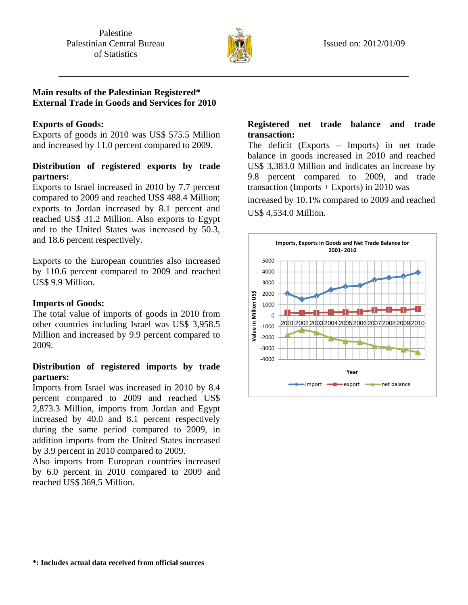

## **Main results of the Palestinian Registered\* External Trade in Goods and Services for 2010**

### **Exports of Goods:**

Exports of goods in 2010 was US\$ 575.5 Million and increased by 11.0 percent compared to 2009.

# **Distribution of registered exports by trade partners:**

Exports to Israel increased in 2010 by 7.7 percent compared to 2009 and reached US\$ 488.4 Million; exports to Jordan increased by 8.1 percent and reached US\$ 31.2 Million. Also exports to Egypt and to the United States was increased by 50.3, and 18.6 percent respectively.

Exports to the European countries also increased by 110.6 percent compared to 2009 and reached US\$ 9.9 Million.

### **Imports of Goods:**

The total value of imports of goods in 2010 from other countries including Israel was US\$ 3,958.5 Million and increased by 9.9 percent compared to 2009.

# **Distribution of registered imports by trade partners:**

Imports from Israel was increased in 2010 by 8.4 percent compared to 2009 and reached US\$ 2,873.3 Million, imports from Jordan and Egypt increased by 40.0 and 8.1 percent respectively during the same period compared to 2009, in addition imports from the United States increased by 3.9 percent in 2010 compared to 2009.

Also imports from European countries increased by 6.0 percent in 2010 compared to 2009 and reached US\$ 369.5 Million.

## **Registered net trade balance and trade transaction:**

The deficit (Exports – Imports) in net trade balance in goods increased in 2010 and reached US\$ 3,383.0 Million and indicates an increase by 9.8 percent compared to 2009, and trade transaction (Imports  $+$  Exports) in 2010 was

increased by 10.1% compared to 2009 and reached US\$ 4,534.0 Million.